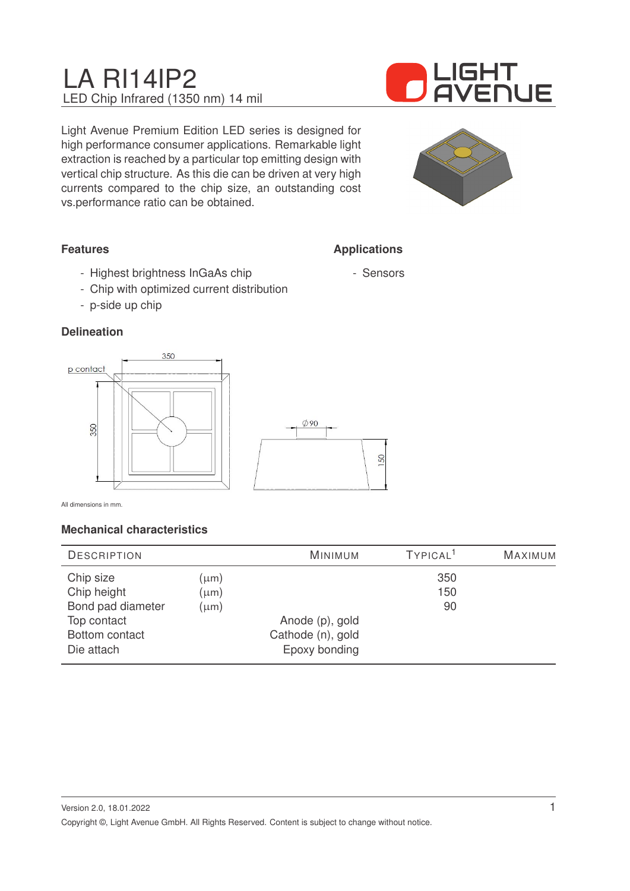# LA RI14IP2 LED Chip Infrared (1350 nm) 14 mil



Light Avenue Premium Edition LED series is designed for high performance consumer applications. Remarkable light extraction is reached by a particular top emitting design with vertical chip structure. As this die can be driven at very high currents compared to the chip size, an outstanding cost vs.performance ratio can be obtained.



## **Features**

- Highest brightness InGaAs chip
- Chip with optimized current distribution
- p-side up chip

## **Delineation**



All dimensions in mm.

### **Mechanical characteristics**

| <b>DESCRIPTION</b> |           | <b>MINIMUM</b>    | TYPICAL <sup>1</sup> | MAXIMUM |
|--------------------|-----------|-------------------|----------------------|---------|
| Chip size          | (µm)      |                   | 350                  |         |
| Chip height        | (µm)      |                   | 150                  |         |
| Bond pad diameter  | $(\mu m)$ |                   | 90                   |         |
| Top contact        |           | Anode (p), gold   |                      |         |
| Bottom contact     |           | Cathode (n), gold |                      |         |
| Die attach         |           | Epoxy bonding     |                      |         |



**Applications**

- Sensors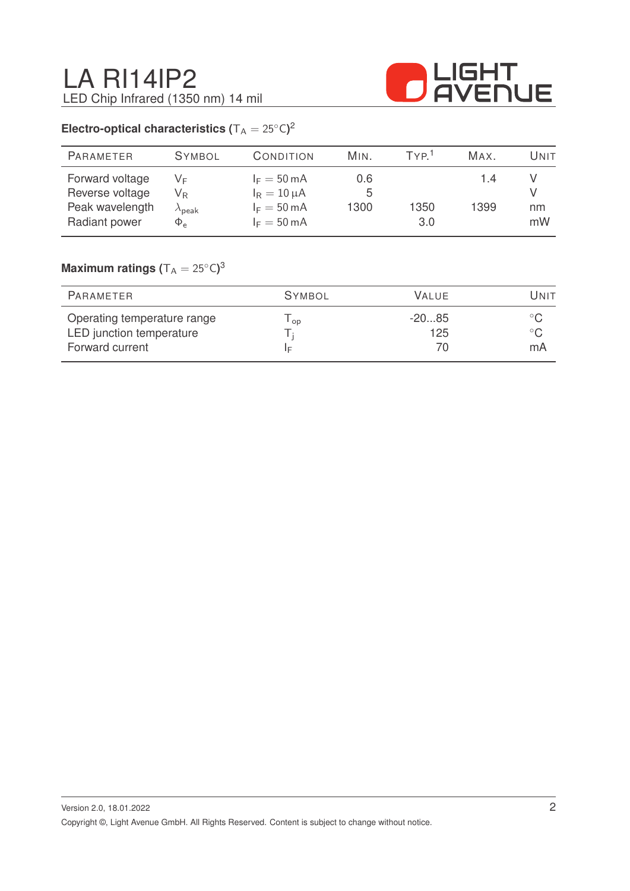

## **Electro-optical characteristics (** $T_A = 25^{\circ}C$ )<sup>2</sup>

| <b>PARAMETER</b>                                                       | <b>SYMBOL</b>                                                           | CONDITION                                                                                   | MIN.             | TYP <sup>1</sup> | MAX.        | Unit     |
|------------------------------------------------------------------------|-------------------------------------------------------------------------|---------------------------------------------------------------------------------------------|------------------|------------------|-------------|----------|
| Forward voltage<br>Reverse voltage<br>Peak wavelength<br>Radiant power | VF<br>$\mathsf{V}_\mathsf{R}$<br>$\lambda_{\sf peak}$<br>$\Phi_{\rm e}$ | $I_F = 50 \text{ mA}$<br>$I_R = 10 \mu A$<br>$I_F = 50 \text{ mA}$<br>$I_F = 50 \text{ mA}$ | 0.6<br>5<br>1300 | 1350<br>3.0      | 1.4<br>1399 | nm<br>mW |

## $\mathsf{Maximum}$  ratings  $(\mathsf{T_A} = 25^\circ\mathsf{C})^3$

| PARAMETER                                                                  | <b>SYMBOL</b> | VALUE.         | Unit |
|----------------------------------------------------------------------------|---------------|----------------|------|
| Operating temperature range<br>LED junction temperature<br>Forward current | l op<br>١F    | $-2085$<br>125 | mA   |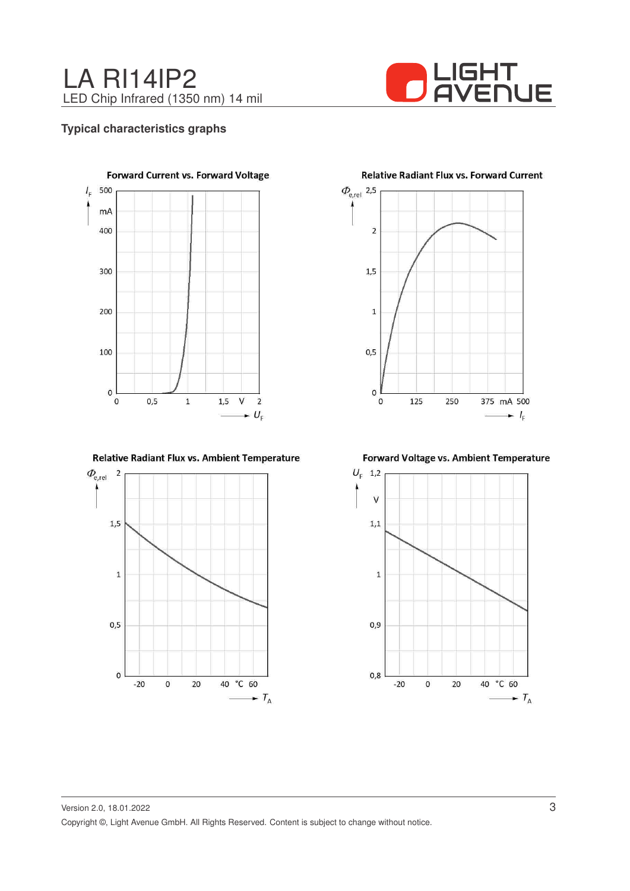



#### **Typical characteristics graphs**



Relative Radiant Flux vs. Ambient Temperature



**Relative Radiant Flux vs. Forward Current** 



Forward Voltage vs. Ambient Temperature

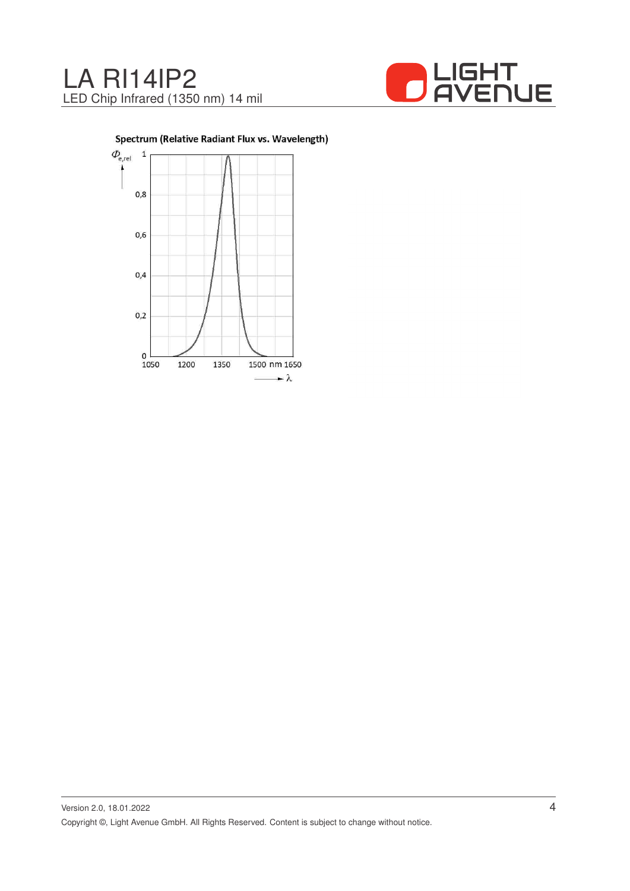



Spectrum (Relative Radiant Flux vs. Wavelength)

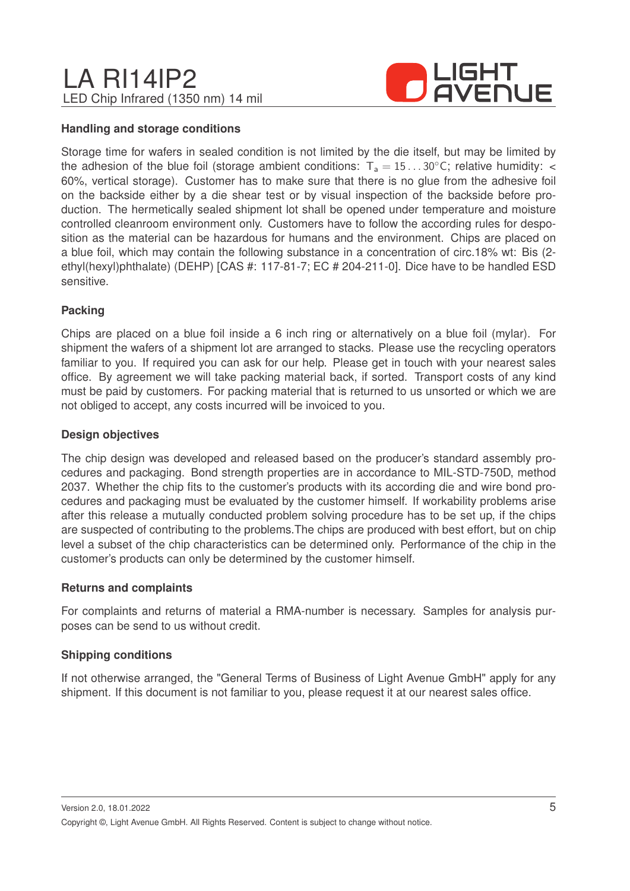## LA RI14IP2 LED Chip Infrared (1350 nm) 14 mil



#### **Handling and storage conditions**

Storage time for wafers in sealed condition is not limited by the die itself, but may be limited by the adhesion of the blue foil (storage ambient conditions:  $T_a = 15...30^{\circ}$ C; relative humidity: < 60%, vertical storage). Customer has to make sure that there is no glue from the adhesive foil on the backside either by a die shear test or by visual inspection of the backside before production. The hermetically sealed shipment lot shall be opened under temperature and moisture controlled cleanroom environment only. Customers have to follow the according rules for desposition as the material can be hazardous for humans and the environment. Chips are placed on a blue foil, which may contain the following substance in a concentration of circ.18% wt: Bis (2 ethyl(hexyl)phthalate) (DEHP) [CAS #: 117-81-7; EC # 204-211-0]. Dice have to be handled ESD sensitive.

#### **Packing**

Chips are placed on a blue foil inside a 6 inch ring or alternatively on a blue foil (mylar). For shipment the wafers of a shipment lot are arranged to stacks. Please use the recycling operators familiar to you. If required you can ask for our help. Please get in touch with your nearest sales office. By agreement we will take packing material back, if sorted. Transport costs of any kind must be paid by customers. For packing material that is returned to us unsorted or which we are not obliged to accept, any costs incurred will be invoiced to you.

#### **Design objectives**

The chip design was developed and released based on the producer's standard assembly procedures and packaging. Bond strength properties are in accordance to MIL-STD-750D, method 2037. Whether the chip fits to the customer's products with its according die and wire bond procedures and packaging must be evaluated by the customer himself. If workability problems arise after this release a mutually conducted problem solving procedure has to be set up, if the chips are suspected of contributing to the problems.The chips are produced with best effort, but on chip level a subset of the chip characteristics can be determined only. Performance of the chip in the customer's products can only be determined by the customer himself.

#### **Returns and complaints**

For complaints and returns of material a RMA-number is necessary. Samples for analysis purposes can be send to us without credit.

#### **Shipping conditions**

If not otherwise arranged, the "General Terms of Business of Light Avenue GmbH" apply for any shipment. If this document is not familiar to you, please request it at our nearest sales office.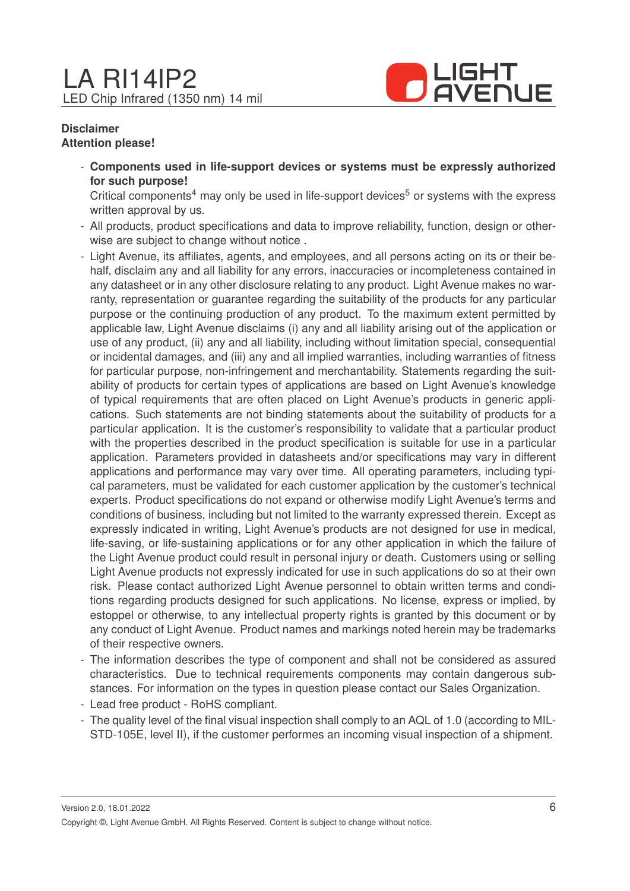

#### **Disclaimer Attention please!**

- **Components used in life-support devices or systems must be expressly authorized for such purpose!**

Critical components<sup>4</sup> may only be used in life-support devices<sup>5</sup> or systems with the express written approval by us.

- All products, product specifications and data to improve reliability, function, design or otherwise are subject to change without notice .
- Light Avenue, its affiliates, agents, and employees, and all persons acting on its or their behalf, disclaim any and all liability for any errors, inaccuracies or incompleteness contained in any datasheet or in any other disclosure relating to any product. Light Avenue makes no warranty, representation or guarantee regarding the suitability of the products for any particular purpose or the continuing production of any product. To the maximum extent permitted by applicable law, Light Avenue disclaims (i) any and all liability arising out of the application or use of any product, (ii) any and all liability, including without limitation special, consequential or incidental damages, and (iii) any and all implied warranties, including warranties of fitness for particular purpose, non-infringement and merchantability. Statements regarding the suitability of products for certain types of applications are based on Light Avenue's knowledge of typical requirements that are often placed on Light Avenue's products in generic applications. Such statements are not binding statements about the suitability of products for a particular application. It is the customer's responsibility to validate that a particular product with the properties described in the product specification is suitable for use in a particular application. Parameters provided in datasheets and/or specifications may vary in different applications and performance may vary over time. All operating parameters, including typical parameters, must be validated for each customer application by the customer's technical experts. Product specifications do not expand or otherwise modify Light Avenue's terms and conditions of business, including but not limited to the warranty expressed therein. Except as expressly indicated in writing, Light Avenue's products are not designed for use in medical, life-saving, or life-sustaining applications or for any other application in which the failure of the Light Avenue product could result in personal injury or death. Customers using or selling Light Avenue products not expressly indicated for use in such applications do so at their own risk. Please contact authorized Light Avenue personnel to obtain written terms and conditions regarding products designed for such applications. No license, express or implied, by estoppel or otherwise, to any intellectual property rights is granted by this document or by any conduct of Light Avenue. Product names and markings noted herein may be trademarks of their respective owners.
- The information describes the type of component and shall not be considered as assured characteristics. Due to technical requirements components may contain dangerous substances. For information on the types in question please contact our Sales Organization.
- Lead free product RoHS compliant.
- The quality level of the final visual inspection shall comply to an AQL of 1.0 (according to MIL-STD-105E, level II), if the customer performes an incoming visual inspection of a shipment.